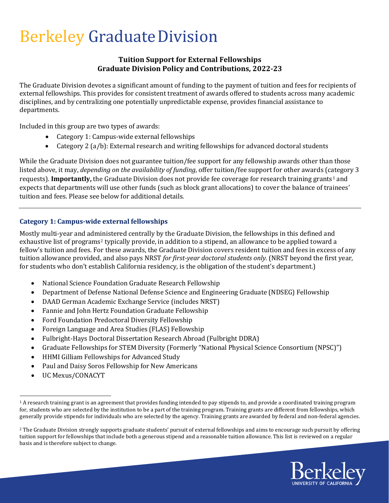# Berkeley GraduateDivision

## **Tuition Support for External Fellowships Graduate Division Policy and Contributions, 2022-23**

The Graduate Division devotes a significant amount of funding to the payment of tuition and fees for recipients of external fellowships. This provides for consistent treatment of awards offered to students across many academic disciplines, and by centralizing one potentially unpredictable expense, provides financial assistance to departments.

Included in this group are two types of awards:

- Category 1: Campus-wide external fellowships
- Category 2 (a/b): External research and writing fellowships for advanced doctoral students

While the Graduate Division does not guarantee tuition/fee support for any fellowship awards other than those listed above, it may, *depending on the availability of funding*, offer tuition/fee support for other awards (category 3 requests). **Importantly**, the Graduate Division does not provide fee coverage for research training grants<sup>[1](#page-0-0)</sup> and expects that departments will use other funds (such as block grant allocations) to cover the balance of trainees' tuition and fees. Please see below for additional details.

## **Category 1: Campus-wide external fellowships**

Mostly multi-year and administered centrally by the Graduate Division, the fellowships in this defined and exhaustive list of programs<sup>[2](#page-0-1)</sup> typically provide, in addition to a stipend, an allowance to be applied toward a fellow's tuition and fees. For these awards, the Graduate Division covers resident tuition and fees in excess of any tuition allowance provided, and also pays NRST *for first-year doctoral students only.* (NRST beyond the first year, for students who don't establish California residency, is the obligation of the student's department.)

- National Science Foundation Graduate Research Fellowship
- Department of Defense National Defense Science and Engineering Graduate (NDSEG) Fellowship
- DAAD German Academic Exchange Service (includes NRST)
- Fannie and John Hertz Foundation Graduate Fellowship
- Ford Foundation Predoctoral Diversity Fellowship
- Foreign Language and Area Studies (FLAS) Fellowship
- Fulbright-Hays Doctoral Dissertation Research Abroad (Fulbright DDRA)
- Graduate Fellowships for STEM Diversity (Formerly "National Physical Science Consortium (NPSC)")
- HHMI Gilliam Fellowships for Advanced Study
- Paul and Daisy Soros Fellowship for New Americans
- UC Mexus/CONACYT

<span id="page-0-1"></span><sup>&</sup>lt;sup>2</sup> The Graduate Division strongly supports graduate students' pursuit of external fellowships and aims to encourage such pursuit by offering tuition support for fellowships that include both a generous stipend and a reasonable tuition allowance. This list is reviewed on a regular basis and is therefore subject to change.



<span id="page-0-0"></span><sup>&</sup>lt;sup>1</sup> A research training grant is an agreement that provides funding intended to pay stipends to, and provide a coordinated training program for, students who are selected by the institution to be a part of the training program. Training grants are different from fellowships, which generally provide stipends for individuals who are selected by the agency. Training grants are awarded by federal and non-federal agencies.